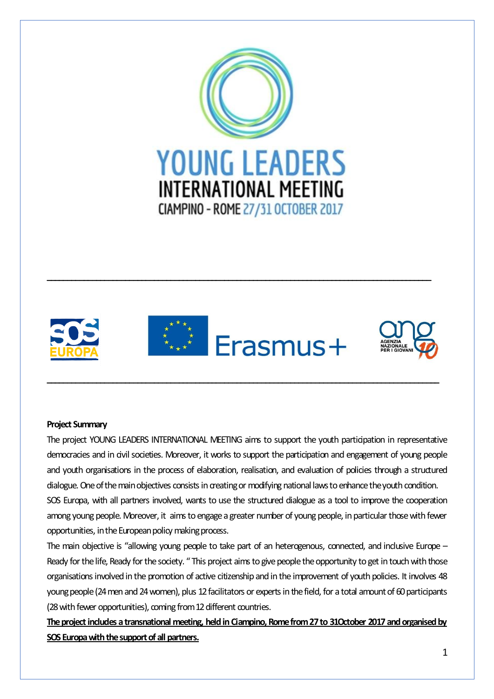



**\_\_\_\_\_\_\_\_\_\_\_\_\_\_\_\_\_\_\_\_\_\_\_\_\_\_\_\_\_\_\_\_\_\_\_\_\_\_\_\_\_\_\_\_\_\_\_\_\_\_\_\_\_\_\_\_\_\_\_\_\_\_\_\_\_\_\_\_\_\_\_\_\_\_\_\_\_\_\_\_\_\_\_\_\_\_\_\_\_\_\_\_\_\_\_**

**\_\_\_\_\_\_\_\_\_\_\_\_\_\_\_\_\_\_\_\_\_\_\_\_\_\_\_\_\_\_\_\_\_\_\_\_\_\_\_\_\_\_\_\_\_\_\_\_\_\_\_\_\_\_\_\_\_\_\_\_\_\_\_\_\_\_\_\_\_\_\_\_\_\_\_\_\_\_\_\_\_\_\_\_\_\_\_\_\_\_\_\_\_**

# **Project Summary**

The project YOUNG LEADERS INTERNATIONAL MEETING aims to support the youth participation in representative democracies and in civil societies. Moreover, it works to support the participation and engagement of young people and youth organisations in the process of elaboration, realisation, and evaluation of policies through a structured dialogue. One of the main objectives consists in creating or modifying national laws to enhance the youth condition. SOS Europa, with all partners involved, wants to use the structured dialogue as a tool to improve the cooperation among young people. Moreover, it aims to engage a greater number of young people, in particular those with fewer opportunities, in the European policy making process.

The main objective is "allowing young people to take part of an heterogenous, connected, and inclusive Europe – Ready for the life, Ready for the society. " This project aims to give people the opportunity to get in touch with those organisations involved in the promotion of active citizenship and in the improvement of youth policies. It involves 48 young people (24 men and 24 women), plus 12 facilitators or experts in the field, for a total amount of 60 participants (28 with fewer opportunities), coming from 12 different countries.

**The project includes a transnational meeting, held in Ciampino, Rome from 27 to 31October 2017 and organised by SOS Europa with the support of all partners.**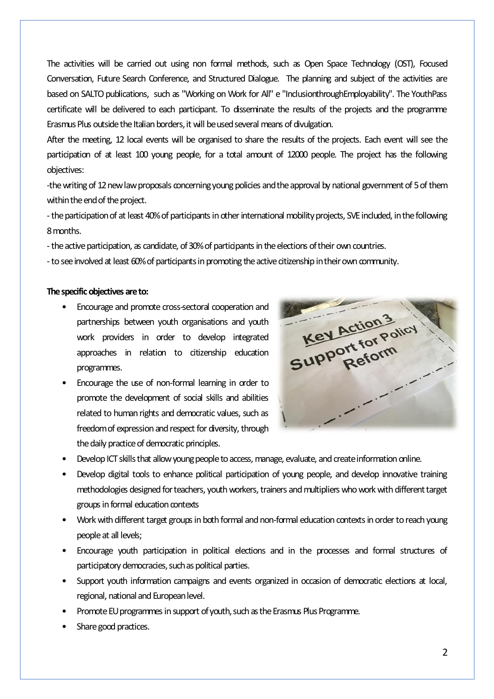The activities will be carried out using non formal methods, such as Open Space Technology (OST), Focused Conversation, Future Search Conference, and Structured Dialogue. The planning and subject of the activities are based on SALTO publications, such as "Working on Work for All" e "InclusionthroughEmployability". The YouthPass certificate will be delivered to each participant. To disseminate the results of the projects and the programme Erasmus Plus outside the Italian borders, it will be used several means of divulgation.

After the meeting, 12 local events will be organised to share the results of the projects. Each event will see the participation of at least 100 young people, for a total amount of 12000 people. The project has the following objectives:

-the writing of 12 new law proposals concerning young policies and the approval by national government of 5 of them within the end of the project.

-the participation of at least 40% of participants in other international mobility projects, SVE included, in the following 8 months.

-the active participation, as candidate, of 30% of participants in the elections of their own countries.

-to see involved at least 60% of participants in promoting the active citizenship in their own community.

## **The specific objectives are to:**

- Encourage and promote cross-sectoral cooperation and partnerships between youth organisations and youth work providers in order to develop integrated approaches in relation to citizenship education programmes.
- Encourage the use of non-formal learning in order to promote the development of social skills and abilities related to human rights and democratic values, such as freedom of expression and respect for diversity, through the daily practice of democratic principles.



- Develop ICT skills that allow young people to access, manage, evaluate, and create information online.
- Develop digital tools to enhance political participation of young people, and develop innovative training methodologies designed for teachers, youth workers, trainers and multipliers who work with different target groups in formal education contexts
- Work with different target groups in both formal and non-formal education contexts in order to reach young people at all levels;
- Encourage youth participation in political elections and in the processes and formal structures of participatory democracies, such as political parties.
- Support youth information campaigns and events organized in occasion of democratic elections at local, regional, national and European level.
- Promote EU programmes in support of youth, such as the Erasmus Plus Programme.
- Share good practices.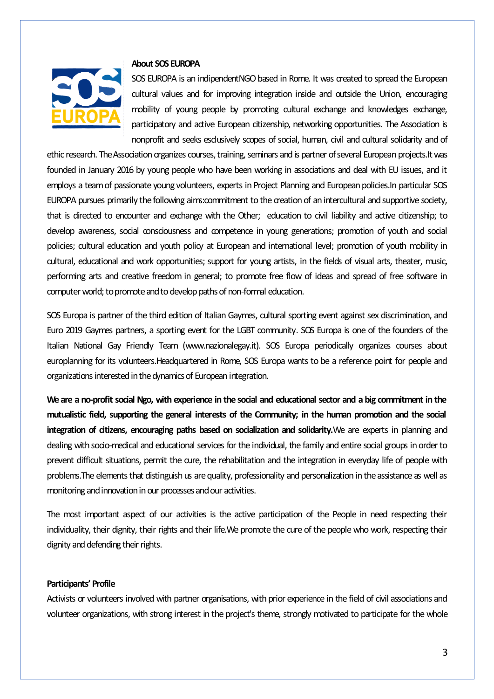

#### **About SOS EUROPA**

SOS EUROPA is an indipendentNGO based in Rome. It was created to spread the European cultural values and for improving integration inside and outside the Union, encouraging mobility of young people by promoting cultural exchange and knowledges exchange, participatory and active European citizenship, networking opportunities. The Association is nonprofit and seeks esclusively scopes of social, human, civil and cultural solidarity and of

ethic research. The Association organizes courses, training, seminars and is partner of several European projects.It was founded in January 2016 by young people who have been working in associations and deal with EU issues, and it employs a team of passionate young volunteers, experts in Project Planning and European policies.In particular SOS EUROPA pursues primarily the following aims:commitment to the creation of an intercultural and supportive society, that is directed to encounter and exchange with the Other; education to civil liability and active citizenship; to develop awareness, social consciousness and competence in young generations; promotion of youth and social policies; cultural education and youth policy at European and international level; promotion of youth mobility in cultural, educational and work opportunities; support for young artists, in the fields of visual arts, theater, music, performing arts and creative freedom in general; to promote free flow of ideas and spread of free software in computer world; to promote and to develop paths of non-formal education.

SOS Europa is partner of the third edition of Italian Gaymes, cultural sporting event against sex discrimination, and Euro 2019 Gaymes partners, a sporting event for the LGBT community. SOS Europa is one of the founders of the Italian National Gay Friendly Team [\(www.nazionalegay.it\)](http://www.nazionalegay.it/). SOS Europa periodically organizes courses about europlanning for its volunteers.Headquartered in Rome, SOS Europa wants to be a reference point for people and organizations interested in the dynamics of European integration.

We are a no-profit social Ngo, with experience in the social and educational sector and a big commitment in the **mutualistic field, supporting the general interests of the Community; in the human promotion and the social integration of citizens, encouraging paths based on socialization and solidarity.**We are experts in planning and dealing with socio-medical and educational services for the individual, the family and entire social groups in order to prevent difficult situations, permit the cure, the rehabilitation and the integration in everyday life of people with problems.The elements that distinguish us are quality, professionality and personalization in the assistance as well as monitoring and innovation in our processes and our activities.

The most important aspect of our activities is the active participation of the People in need respecting their individuality, their dignity, their rights and their life.We promote the cure of the people who work, respecting their dignity and defending their rights.

# **Participants' Profile**

Activists or volunteers involved with partner organisations, with prior experience in the field of civil associations and volunteer organizations, with strong interest in the project's theme, strongly motivated to participate for the whole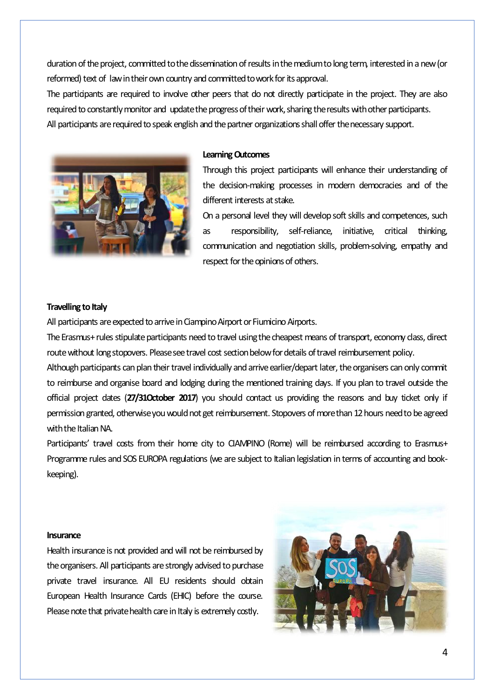duration of the project, committed to the dissemination of results in the medium to long term, interested in a new (or reformed) text of law in their own country and committed to work for its approval.

The participants are required to involve other peers that do not directly participate in the project. They are also required to constantly monitor and update the progress of their work, sharing the results with other participants. All participants are required to speak english and the partner organizations shall offer the necessary support.



#### **Learning Outcomes**

Through this project participants will enhance their understanding of the decision-making processes in modern democracies and of the different interests at stake.

On a personal level they will develop soft skills and competences, such as responsibility, self-reliance, initiative, critical thinking, communication and negotiation skills, problem-solving, empathy and respect for the opinions of others.

#### **Travelling to Italy**

All participants are expected to arrive in Ciampino Airport or Fiumicino Airports.

The Erasmus+ rules stipulate participants need to travel using the cheapest means of transport, economy class, direct route without long stopovers. Please see travel cost section below for details of travel reimbursement policy.

Although participants can plan their travel individually and arrive earlier/depart later, the organisers can only commit to reimburse and organise board and lodging during the mentioned training days. If you plan to travel outside the official project dates (**27/31October 2017**) you should contact us providing the reasons and buy ticket only if permission granted, otherwise you would not get reimbursement. Stopovers of more than 12 hours need to be agreed with the Italian NA.

Participants' travel costs from their home city to CIAMPINO (Rome) will be reimbursed according to Erasmus+ Programme rules and SOS EUROPA regulations (we are subject to Italian legislation in terms of accounting and bookkeeping).

#### **Insurance**

Health insurance is not provided and will not be reimbursed by the organisers. All participants are strongly advised to purchase private travel insurance. All EU residents should obtain European Health Insurance Cards (EHIC) before the course. Please note that private health care in Italy is extremely costly.

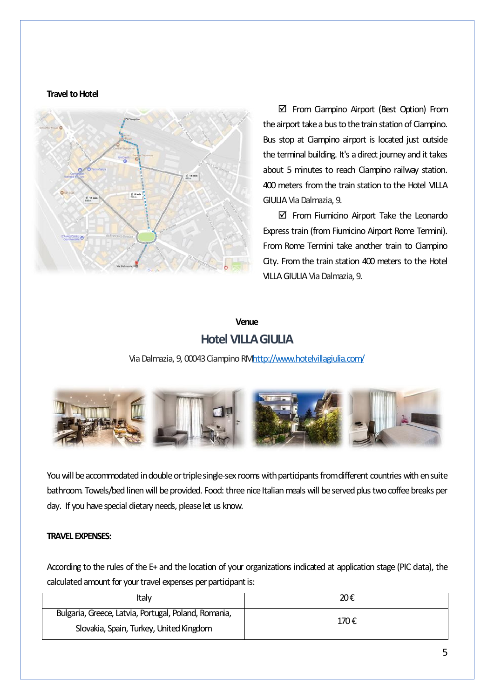#### **Travel to Hotel**



 From Ciampino Airport (Best Option) From the airport take a bus to the train station of Ciampino. Bus stop at Ciampino airport is located just outside the terminal building. It's a direct journey and it takes about 5 minutes to reach Ciampino railway station. 400 meters from the train station to the Hotel VILLA GIULIA Via Dalmazia, 9.

 $\boxtimes$  From Fiumicino Airport Take the Leonardo Express train (from Fiumicino Airport Rome Termini). From Rome Termini take another train to Ciampino City. From the train station 400 meters to the Hotel VILLA GIULIA Via Dalmazia, 9.

# **Venue Hotel VILLA GIULIA**

Via Dalmazia, 9, 00043 Ciampino R[Mhttp://www.hotelvillagiulia.com/](http://www.hotelvillagiulia.com/)



You will be accommodated in double or triple single-sex rooms with participants from different countries with en suite bathroom. Towels/bed linen will be provided. Food: three nice Italian meals will be served plus two coffee breaks per day. If you have special dietary needs, please let us know.

# **TRAVEL EXPENSES:**

According to the rules of the E+ and the location of your organizations indicated at application stage (PIC data), the calculated amount for your travel expenses per participant is:

| Italv                                                | 20€  |
|------------------------------------------------------|------|
| Bulgaria, Greece, Latvia, Portugal, Poland, Romania, | 170€ |
| Slovakia, Spain, Turkey, United Kingdom              |      |